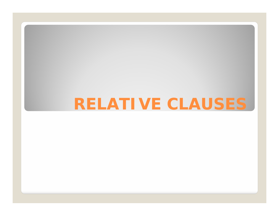# **RELATIVE CLAUSES**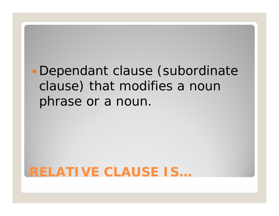# · Dependant clause (subordinate clause) that modifies a noun phrase or a noun.

#### **RELATIVE CLAUSE IS…**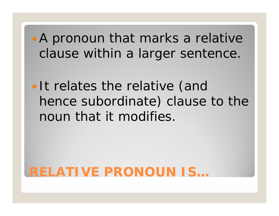A pronoun that marks a relative clause within a larger sentence.

• It relates the relative (and hence subordinate) clause to the noun that it modifies.

### **RELATIVE PRONOUN IS…**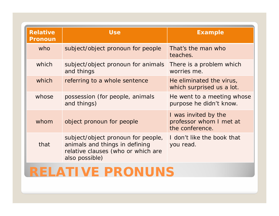| <b>Relative</b><br><b>Pronoun</b> | <b>Use</b>                                                                                                                   | <b>Example</b>                                                     |  |
|-----------------------------------|------------------------------------------------------------------------------------------------------------------------------|--------------------------------------------------------------------|--|
| who                               | subject/object pronoun for people                                                                                            | That's the man who<br>teaches.                                     |  |
| which                             | subject/object pronoun for animals<br>and things                                                                             | There is a problem <i>which</i><br>worries me.                     |  |
| which                             | referring to a whole sentence<br>He eliminated the virus,<br>which surprised us a lot.                                       |                                                                    |  |
| whose                             | possession (for people, animals<br>He went to a meeting whose<br>and things)<br>purpose he didn't know.                      |                                                                    |  |
| whom                              | object pronoun for people                                                                                                    | I was invited by the<br>professor whom I met at<br>the conference. |  |
| that                              | subject/object pronoun for people,<br>animals and things in defining<br>relative clauses (who or which are<br>also possible) | I don't like the book that<br>you read.                            |  |

#### **RELATIVE PRONUNS**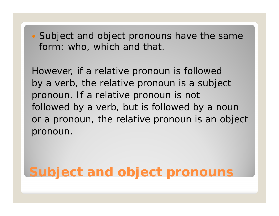• Subject and object pronouns have the same form: *who, which* and *that*.

However, if a relative pronoun is followed by a verb, the relative pronoun is *<sup>a</sup> subject pronoun*. If a relative pronoun is not followed by a verb, but is followed by a noun or a pronoun, the relative pronoun is *an object pronoun.*

### **Subject and object pronouns**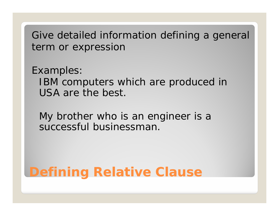Give detailed information defining a general term or expression

Examples: IBM computers *which are produced in USA* are the best.

My brother *who is an engineer* is a successful businessman.

# **Defining Relative Clause**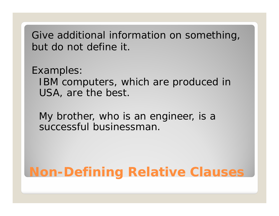Give additional information on something, but do not define it.

Examples:

IBM computers, which are produced in USA, are the best.

My brother, who is an engineer, is a successful businessman.

### **Non -Defining Relative Clauses**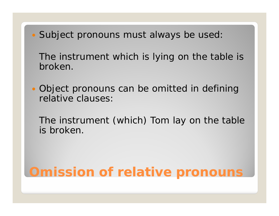Subject pronouns must always be used:

The instrument *which* is lying on the table is broken.

 Object pronouns can be omitted in defining relative clauses:

The instrument (*which*) Tom lay on the table is broken.

# **Omission of relative pronouns**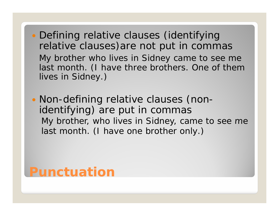- Defining relative clauses (identifying relative clauses)are not put in commas My brother who lives in Sidney came to see me last month. *(I have three brothers. One of them lives in Sidney.)*
- $\bullet$  Non-defining relative clauses (nonidentifying) are put in commas My brother, who lives in Sidney, came to see me last month. (*I have one brother only.)*

#### **Punctuation**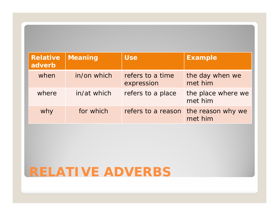| <b>Relative</b><br>adverb | <b>Meaning</b> | <b>Use</b>                     | <b>Example</b>                |
|---------------------------|----------------|--------------------------------|-------------------------------|
| when                      | in/on which    | refers to a time<br>expression | the day when we<br>met him    |
| where                     | in/at which    | refers to a place              | the place where we<br>met him |
| why                       | for which      | refers to a reason             | the reason why we<br>met him  |

### **RELATIVE ADVERBS**